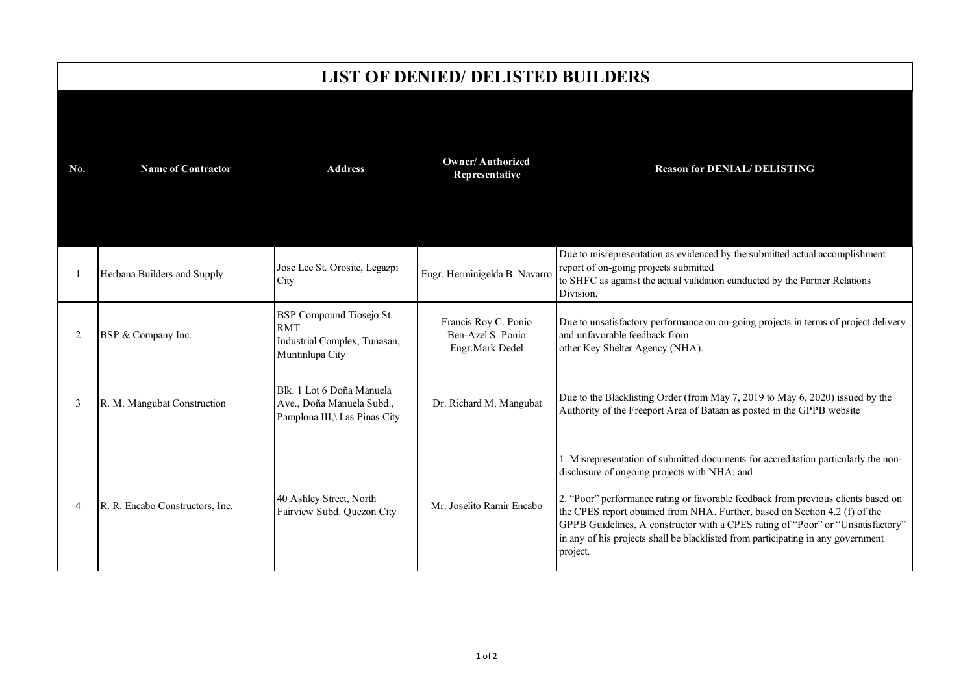## **LIST OF DENIED/ DELISTED BUILDERS**

| No. | <b>Name of Contractor</b>       | <b>Address</b>                                                                            | <b>Owner/Authorized</b><br>Representative                    | <b>Reason for DENIAL/DELISTING</b>                                                                                                                                                                                                                                                                                                                                                                                                                                                         |
|-----|---------------------------------|-------------------------------------------------------------------------------------------|--------------------------------------------------------------|--------------------------------------------------------------------------------------------------------------------------------------------------------------------------------------------------------------------------------------------------------------------------------------------------------------------------------------------------------------------------------------------------------------------------------------------------------------------------------------------|
|     | Herbana Builders and Supply     | Jose Lee St. Orosite, Legazpi<br>City                                                     | Engr. Herminigelda B. Navarro                                | Due to misrepresentation as evidenced by the submitted actual accomplishment<br>report of on-going projects submitted<br>to SHFC as against the actual validation cunducted by the Partner Relations<br>Division.                                                                                                                                                                                                                                                                          |
| 2   | BSP & Company Inc.              | BSP Compound Tiosejo St.<br><b>RMT</b><br>Industrial Complex, Tunasan,<br>Muntinlupa City | Francis Roy C. Ponio<br>Ben-Azel S. Ponio<br>Engr.Mark Dedel | Due to unsatisfactory performance on on-going projects in terms of project delivery<br>and unfavorable feedback from<br>other Key Shelter Agency (NHA).                                                                                                                                                                                                                                                                                                                                    |
| 3   | R. M. Mangubat Construction     | Blk. 1 Lot 6 Doña Manuela<br>Ave., Doña Manuela Subd.,<br>Pamplona III,\ Las Pinas City   | Dr. Richard M. Mangubat                                      | Due to the Blacklisting Order (from May 7, 2019 to May 6, 2020) issued by the<br>Authority of the Freeport Area of Bataan as posted in the GPPB website                                                                                                                                                                                                                                                                                                                                    |
| 4   | R. R. Encabo Constructors, Inc. | 40 Ashley Street, North<br>Fairview Subd. Quezon City                                     | Mr. Joselito Ramir Encabo                                    | 1. Misrepresentation of submitted documents for accreditation particularly the non-<br>disclosure of ongoing projects with NHA; and<br>2. "Poor" performance rating or favorable feedback from previous clients based on<br>the CPES report obtained from NHA. Further, based on Section 4.2 (f) of the<br>GPPB Guidelines, A constructor with a CPES rating of "Poor" or "Unsatisfactory"<br>in any of his projects shall be blacklisted from participating in any government<br>project. |